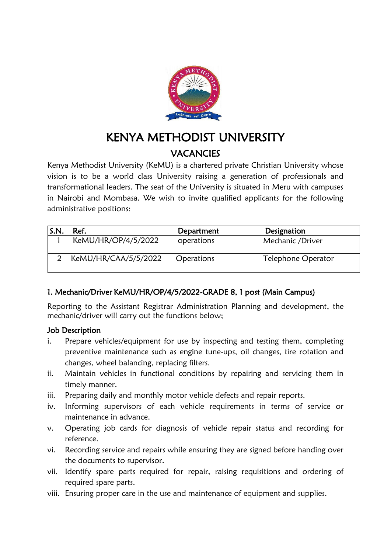

# KENYA METHODIST UNIVERSITY **VACANCIES**

Kenya Methodist University (KeMU) is a chartered private Christian University whose vision is to be a world class University raising a generation of professionals and transformational leaders. The seat of the University is situated in Meru with campuses in Nairobi and Mombasa. We wish to invite qualified applicants for the following administrative positions:

| S.N. | Ref.                 | Department | Designation        |
|------|----------------------|------------|--------------------|
|      | KeMU/HR/OP/4/5/2022  | operations | Mechanic /Driver   |
|      | KeMU/HR/CAA/5/5/2022 | Operations | Telephone Operator |

# 1. Mechanic/Driver KeMU/HR/OP/4/5/2022-GRADE 8, 1 post (Main Campus)

Reporting to the Assistant Registrar Administration Planning and development, the mechanic/driver will carry out the functions below;

## Job Description

- i. Prepare vehicles/equipment for use by inspecting and testing them, completing preventive maintenance such as engine tune-ups, oil changes, tire rotation and changes, wheel balancing, replacing filters.
- ii. Maintain vehicles in functional conditions by repairing and servicing them in timely manner.
- iii. Preparing daily and monthly motor vehicle defects and repair reports.
- iv. Informing supervisors of each vehicle requirements in terms of service or maintenance in advance.
- v. Operating job cards for diagnosis of vehicle repair status and recording for reference.
- vi. Recording service and repairs while ensuring they are signed before handing over the documents to supervisor.
- vii. Identify spare parts required for repair, raising requisitions and ordering of required spare parts.
- viii. Ensuring proper care in the use and maintenance of equipment and supplies.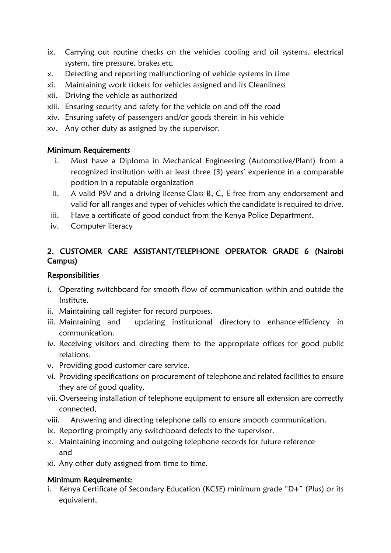- ix. Carrying out routine checks on the vehicles cooling and oil systems, electrical system, tire pressure, brakes etc.
- x. Detecting and reporting malfunctioning of vehicle systems in time
- xi. Maintaining work tickets for vehicles assigned and its Cleanliness
- xii. Driving the vehicle as authorized
- xiii. Ensuring security and safety for the vehicle on and off the road
- xiv. Ensuring safety of passengers and/or goods therein in his vehicle
- xv. Any other duty as assigned by the supervisor.

#### Minimum Requirements

- i. Must have a Diploma in Mechanical Engineering (Automotive/Plant) from a recognized institution with at least three (3) years' experience in a comparable position in a reputable organization
- ii. A valid PSV and a driving license Class B, C, E free from any endorsement and valid for all ranges and types of vehicles which the candidate is required to drive.
- iii. Have a certificate of good conduct from the Kenya Police Department.
- iv. Computer literacy

## 2. CUSTOMER CARE ASSISTANT/TELEPHONE OPERATOR GRADE 6 (Nairobi Campus)

#### **Responsibilities**

- i. Operating switchboard for smooth flow of communication within and outside the Institute.
- ii. Maintaining call register for record purposes.
- iii. Maintaining and updating institutional directory to enhance efficiency in communication.
- iv. Receiving visitors and directing them to the appropriate offices for good public relations.
- v. Providing good customer care service.
- vi. Providing specifications on procurement of telephone and related facilities to ensure they are of good quality.
- vii. Overseeing installation of telephone equipment to ensure all extension are correctly connected,
- viii. Answering and directing telephone calls to ensure smooth communication.
- ix. Reporting promptly any switchboard defects to the supervisor.
- x. Maintaining incoming and outgoing telephone records for future reference and
- xi. Any other duty assigned from time to time.

## Minimum Requirements:

i. Kenya Certificate of Secondary Education (KCSE) minimum grade "D+" (Plus) or its equivalent,